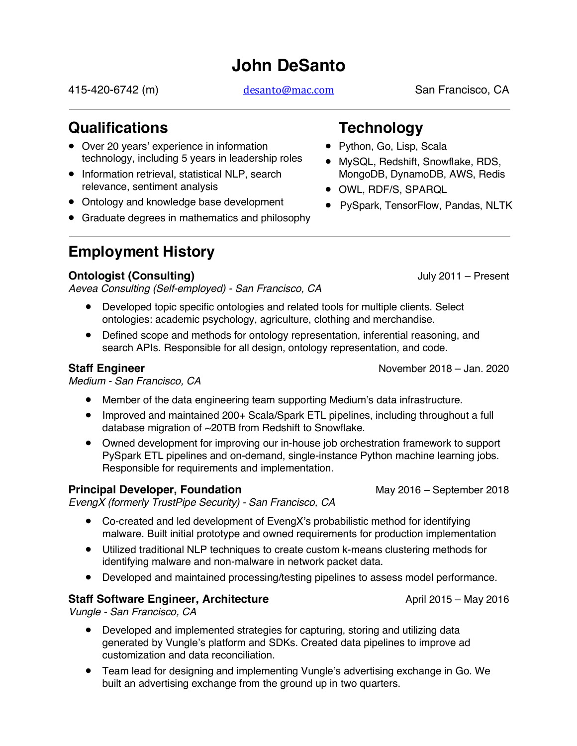# **John DeSanto**

415-420-6742 (m) desanto@mac.com San Francisco, CA

## **Qualifications**

- Over 20 years' experience in information technology, including 5 years in leadership roles
- Information retrieval, statistical NLP, search relevance, sentiment analysis
- Ontology and knowledge base development
- Graduate degrees in mathematics and philosophy

# **Employment History**

## **Ontologist (Consulting) Consulting CONSULTER CONSULTER STATE STATE STATE STATE STATE STATE STATE STATE STATE STATE STATE STATE STATE STATE STATE STATE STATE STATE STATE STATE STATE STATE STATE STATE STATE STATE STATE**

*Aevea Consulting (Self-employed) - San Francisco, CA*

- Developed topic specific ontologies and related tools for multiple clients. Select ontologies: academic psychology, agriculture, clothing and merchandise.
- Defined scope and methods for ontology representation, inferential reasoning, and search APIs. Responsible for all design, ontology representation, and code.

*Medium - San Francisco, CA*

- Member of the data engineering team supporting Medium's data infrastructure.
- Improved and maintained 200+ Scala/Spark ETL pipelines, including throughout a full database migration of ~20TB from Redshift to Snowflake.
- Owned development for improving our in-house job orchestration framework to support PySpark ETL pipelines and on-demand, single-instance Python machine learning jobs. Responsible for requirements and implementation.

## **Principal Developer, Foundation** May 2016 – September 2018

*EvengX (formerly TrustPipe Security) - San Francisco, CA*

- Co-created and led development of EvengX's probabilistic method for identifying malware. Built initial prototype and owned requirements for production implementation
- Utilized traditional NLP techniques to create custom k-means clustering methods for identifying malware and non-malware in network packet data.
- Developed and maintained processing/testing pipelines to assess model performance.

#### **Staff Software Engineer, Architecture According the Staff Software Engineer, Architecture** April 2015 – May 2016

*Vungle - San Francisco, CA*

- Developed and implemented strategies for capturing, storing and utilizing data generated by Vungle's platform and SDKs. Created data pipelines to improve ad customization and data reconciliation.
- Team lead for designing and implementing Vungle's advertising exchange in Go. We built an advertising exchange from the ground up in two quarters.

## **Technology**

- Python, Go, Lisp, Scala
- MySQL, Redshift, Snowflake, RDS, MongoDB, DynamoDB, AWS, Redis
- OWL, RDF/S, SPARQL
- PySpark, TensorFlow, Pandas, NLTK

**Staff Engineer** November 2018 – Jan. 2020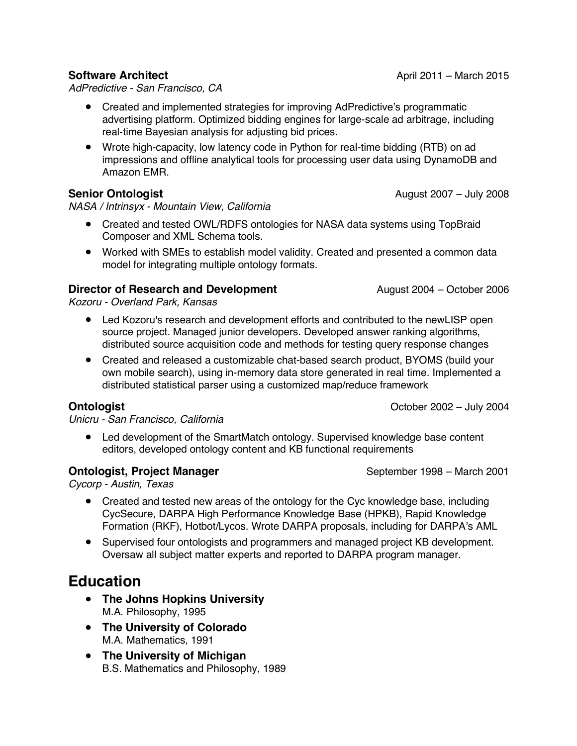#### **Software Architect And Construct** April 2011 – March 2015

*AdPredictive - San Francisco, CA*

- Created and implemented strategies for improving AdPredictive's programmatic advertising platform. Optimized bidding engines for large-scale ad arbitrage, including real-time Bayesian analysis for adjusting bid prices.
- Wrote high-capacity, low latency code in Python for real-time bidding (RTB) on ad impressions and offline analytical tools for processing user data using DynamoDB and Amazon EMR.

## **Senior Ontologist Contract 2007** – July 2008

*NASA / Intrinsyx - Mountain View, California*

- Created and tested OWL/RDFS ontologies for NASA data systems using TopBraid Composer and XML Schema tools.
- Worked with SMEs to establish model validity. Created and presented a common data model for integrating multiple ontology formats.

## **Director of Research and Development** August 2004 – October 2006

*Kozoru - Overland Park, Kansas*

- Led Kozoru's research and development efforts and contributed to the newLISP open source project. Managed junior developers. Developed answer ranking algorithms, distributed source acquisition code and methods for testing query response changes
- Created and released a customizable chat-based search product, BYOMS (build your own mobile search), using in-memory data store generated in real time. Implemented a distributed statistical parser using a customized map/reduce framework

**Ontologist** October 2002 – July 2004

*Unicru - San Francisco, California*

• Led development of the SmartMatch ontology. Supervised knowledge base content editors, developed ontology content and KB functional requirements

#### **Ontologist, Project Manager** September 1998 – March 2001

*Cycorp - Austin, Texas*

- Created and tested new areas of the ontology for the Cyc knowledge base, including CycSecure, DARPA High Performance Knowledge Base (HPKB), Rapid Knowledge Formation (RKF), Hotbot/Lycos. Wrote DARPA proposals, including for DARPA's AML
- Supervised four ontologists and programmers and managed project KB development. Oversaw all subject matter experts and reported to DARPA program manager.

## **Education**

- **The Johns Hopkins University** M.A. Philosophy, 1995
- **The University of Colorado** M.A. Mathematics, 1991
- **The University of Michigan** B.S. Mathematics and Philosophy, 1989